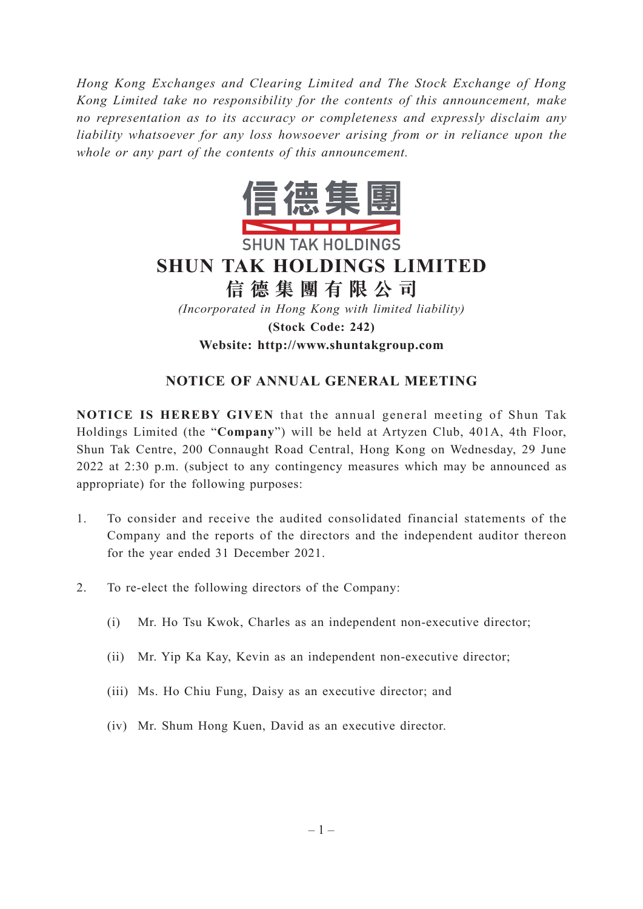*Hong Kong Exchanges and Clearing Limited and The Stock Exchange of Hong Kong Limited take no responsibility for the contents of this announcement, make no representation as to its accuracy or completeness and expressly disclaim any liability whatsoever for any loss howsoever arising from or in reliance upon the whole or any part of the contents of this announcement.*



# **SHUN TAK HOLDINGS LIMITED**

**信德集團有限公司**

*(Incorporated in Hong Kong with limited liability)* **(Stock Code: 242) Website: http://www.shuntakgroup.com**

## **NOTICE OF ANNUAL GENERAL MEETING**

**NOTICE IS HEREBY GIVEN** that the annual general meeting of Shun Tak Holdings Limited (the "**Company**") will be held at Artyzen Club, 401A, 4th Floor, Shun Tak Centre, 200 Connaught Road Central, Hong Kong on Wednesday, 29 June 2022 at 2:30 p.m. (subject to any contingency measures which may be announced as appropriate) for the following purposes:

- 1. To consider and receive the audited consolidated financial statements of the Company and the reports of the directors and the independent auditor thereon for the year ended 31 December 2021.
- 2. To re-elect the following directors of the Company:
	- (i) Mr. Ho Tsu Kwok, Charles as an independent non-executive director;
	- (ii) Mr. Yip Ka Kay, Kevin as an independent non-executive director;
	- (iii) Ms. Ho Chiu Fung, Daisy as an executive director; and
	- (iv) Mr. Shum Hong Kuen, David as an executive director.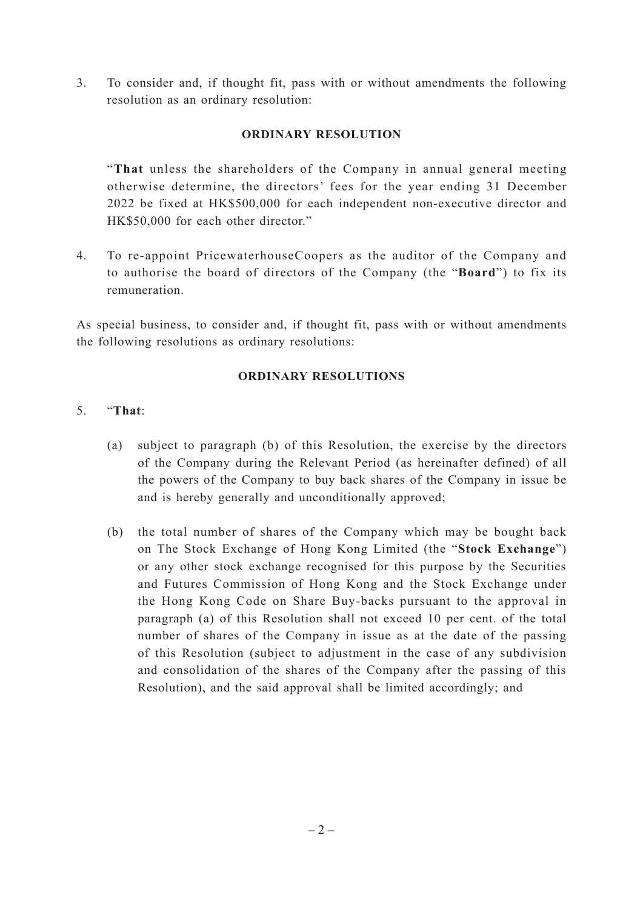3. To consider and, if thought fit, pass with or without amendments the following resolution as an ordinary resolution:

#### **ORDINARY RESOLUTION**

"**That** unless the shareholders of the Company in annual general meeting otherwise determine, the directors' fees for the year ending 31 December 2022 be fixed at HK\$500,000 for each independent non-executive director and HK\$50,000 for each other director."

4. To re-appoint PricewaterhouseCoopers as the auditor of the Company and to authorise the board of directors of the Company (the "**Board**") to fix its remuneration.

As special business, to consider and, if thought fit, pass with or without amendments the following resolutions as ordinary resolutions:

#### **ORDINARY RESOLUTIONS**

#### 5. "**That**:

- (a) subject to paragraph (b) of this Resolution, the exercise by the directors of the Company during the Relevant Period (as hereinafter defined) of all the powers of the Company to buy back shares of the Company in issue be and is hereby generally and unconditionally approved;
- (b) the total number of shares of the Company which may be bought back on The Stock Exchange of Hong Kong Limited (the "**Stock Exchange**") or any other stock exchange recognised for this purpose by the Securities and Futures Commission of Hong Kong and the Stock Exchange under the Hong Kong Code on Share Buy-backs pursuant to the approval in paragraph (a) of this Resolution shall not exceed 10 per cent. of the total number of shares of the Company in issue as at the date of the passing of this Resolution (subject to adjustment in the case of any subdivision and consolidation of the shares of the Company after the passing of this Resolution), and the said approval shall be limited accordingly; and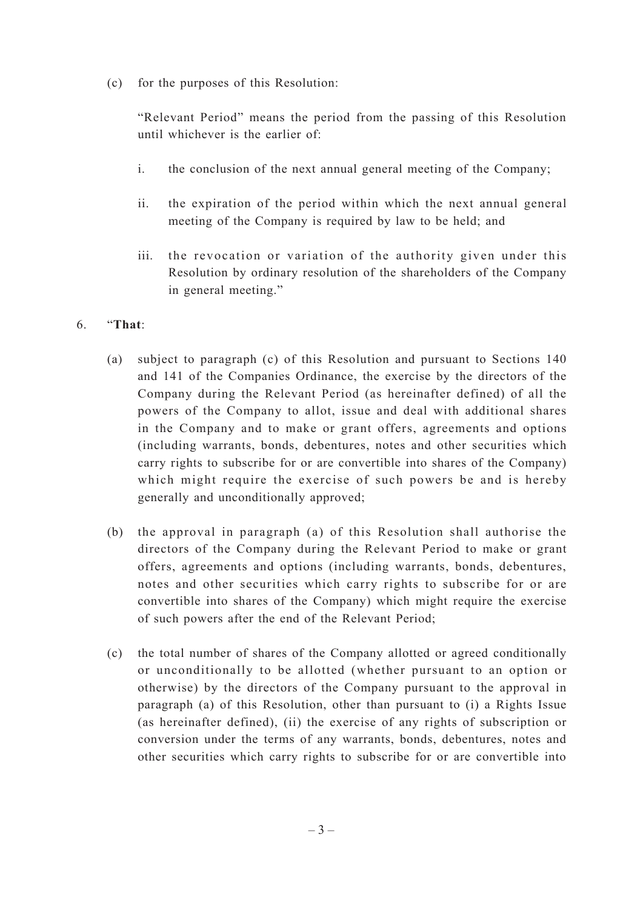(c) for the purposes of this Resolution:

"Relevant Period" means the period from the passing of this Resolution until whichever is the earlier of:

- i. the conclusion of the next annual general meeting of the Company;
- ii. the expiration of the period within which the next annual general meeting of the Company is required by law to be held; and
- iii. the revocation or variation of the authority given under this Resolution by ordinary resolution of the shareholders of the Company in general meeting."

### 6. "**That**:

- (a) subject to paragraph (c) of this Resolution and pursuant to Sections 140 and 141 of the Companies Ordinance, the exercise by the directors of the Company during the Relevant Period (as hereinafter defined) of all the powers of the Company to allot, issue and deal with additional shares in the Company and to make or grant offers, agreements and options (including warrants, bonds, debentures, notes and other securities which carry rights to subscribe for or are convertible into shares of the Company) which might require the exercise of such powers be and is hereby generally and unconditionally approved;
- (b) the approval in paragraph (a) of this Resolution shall authorise the directors of the Company during the Relevant Period to make or grant offers, agreements and options (including warrants, bonds, debentures, notes and other securities which carry rights to subscribe for or are convertible into shares of the Company) which might require the exercise of such powers after the end of the Relevant Period;
- (c) the total number of shares of the Company allotted or agreed conditionally or unconditionally to be allotted (whether pursuant to an option or otherwise) by the directors of the Company pursuant to the approval in paragraph (a) of this Resolution, other than pursuant to (i) a Rights Issue (as hereinafter defined), (ii) the exercise of any rights of subscription or conversion under the terms of any warrants, bonds, debentures, notes and other securities which carry rights to subscribe for or are convertible into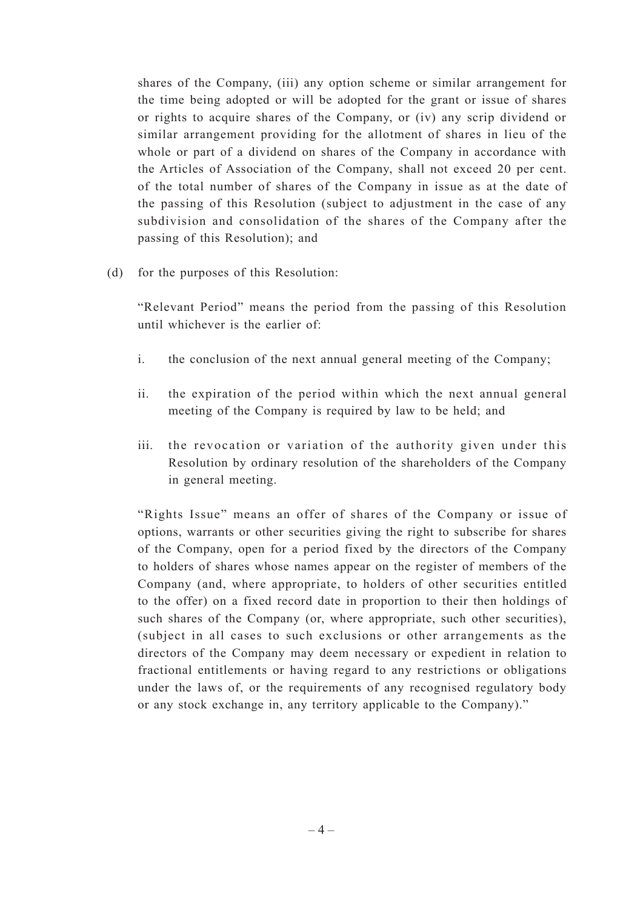shares of the Company, (iii) any option scheme or similar arrangement for the time being adopted or will be adopted for the grant or issue of shares or rights to acquire shares of the Company, or (iv) any scrip dividend or similar arrangement providing for the allotment of shares in lieu of the whole or part of a dividend on shares of the Company in accordance with the Articles of Association of the Company, shall not exceed 20 per cent. of the total number of shares of the Company in issue as at the date of the passing of this Resolution (subject to adjustment in the case of any subdivision and consolidation of the shares of the Company after the passing of this Resolution); and

(d) for the purposes of this Resolution:

"Relevant Period" means the period from the passing of this Resolution until whichever is the earlier of:

- i. the conclusion of the next annual general meeting of the Company;
- ii. the expiration of the period within which the next annual general meeting of the Company is required by law to be held; and
- iii. the revocation or variation of the authority given under this Resolution by ordinary resolution of the shareholders of the Company in general meeting.

"Rights Issue" means an offer of shares of the Company or issue of options, warrants or other securities giving the right to subscribe for shares of the Company, open for a period fixed by the directors of the Company to holders of shares whose names appear on the register of members of the Company (and, where appropriate, to holders of other securities entitled to the offer) on a fixed record date in proportion to their then holdings of such shares of the Company (or, where appropriate, such other securities), (subject in all cases to such exclusions or other arrangements as the directors of the Company may deem necessary or expedient in relation to fractional entitlements or having regard to any restrictions or obligations under the laws of, or the requirements of any recognised regulatory body or any stock exchange in, any territory applicable to the Company)."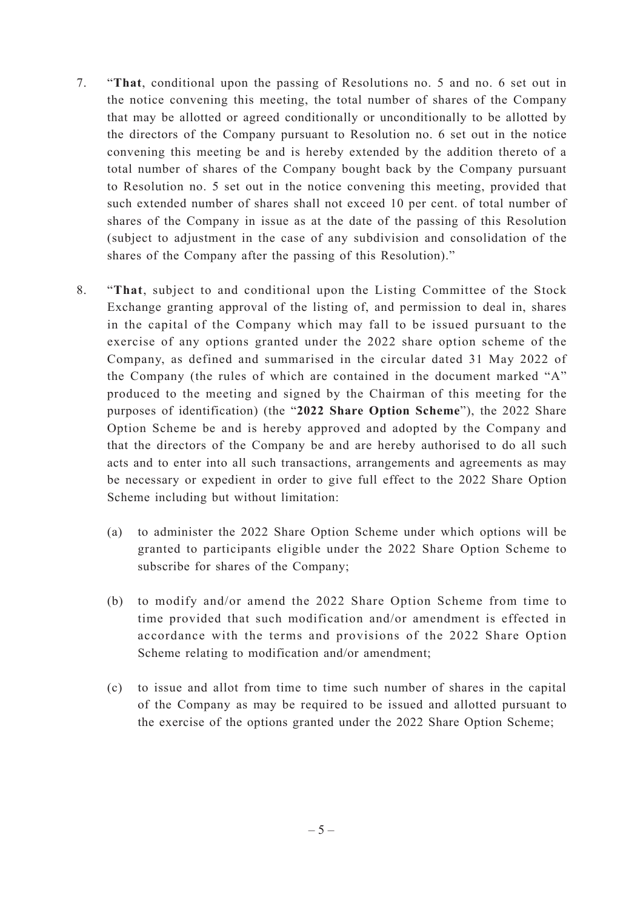- 7. "**That**, conditional upon the passing of Resolutions no. 5 and no. 6 set out in the notice convening this meeting, the total number of shares of the Company that may be allotted or agreed conditionally or unconditionally to be allotted by the directors of the Company pursuant to Resolution no. 6 set out in the notice convening this meeting be and is hereby extended by the addition thereto of a total number of shares of the Company bought back by the Company pursuant to Resolution no. 5 set out in the notice convening this meeting, provided that such extended number of shares shall not exceed 10 per cent. of total number of shares of the Company in issue as at the date of the passing of this Resolution (subject to adjustment in the case of any subdivision and consolidation of the shares of the Company after the passing of this Resolution)."
- 8. "**That**, subject to and conditional upon the Listing Committee of the Stock Exchange granting approval of the listing of, and permission to deal in, shares in the capital of the Company which may fall to be issued pursuant to the exercise of any options granted under the 2022 share option scheme of the Company, as defined and summarised in the circular dated 31 May 2022 of the Company (the rules of which are contained in the document marked "A" produced to the meeting and signed by the Chairman of this meeting for the purposes of identification) (the "**2022 Share Option Scheme**"), the 2022 Share Option Scheme be and is hereby approved and adopted by the Company and that the directors of the Company be and are hereby authorised to do all such acts and to enter into all such transactions, arrangements and agreements as may be necessary or expedient in order to give full effect to the 2022 Share Option Scheme including but without limitation:
	- (a) to administer the 2022 Share Option Scheme under which options will be granted to participants eligible under the 2022 Share Option Scheme to subscribe for shares of the Company;
	- (b) to modify and/or amend the 2022 Share Option Scheme from time to time provided that such modification and/or amendment is effected in accordance with the terms and provisions of the 2022 Share Option Scheme relating to modification and/or amendment;
	- (c) to issue and allot from time to time such number of shares in the capital of the Company as may be required to be issued and allotted pursuant to the exercise of the options granted under the 2022 Share Option Scheme;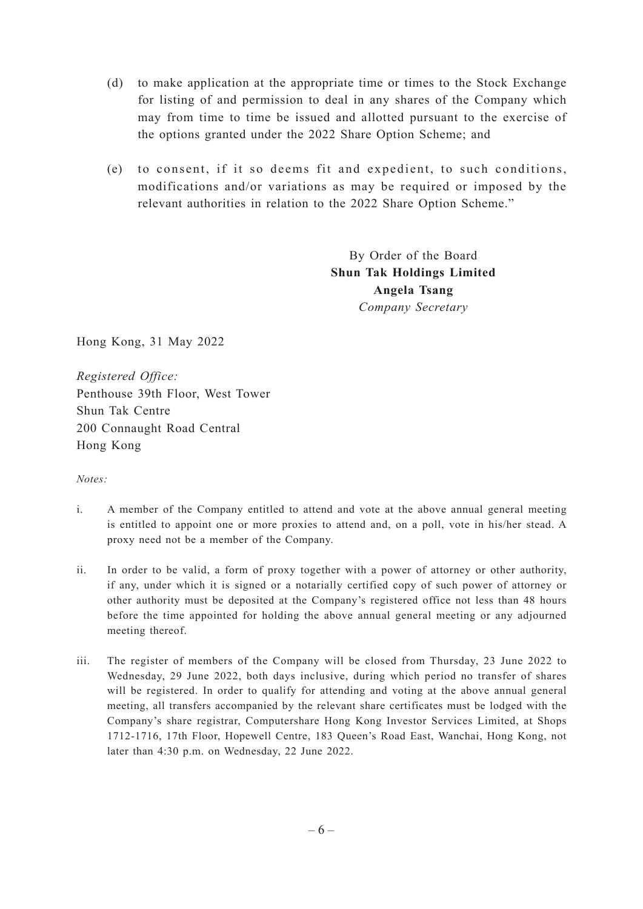- (d) to make application at the appropriate time or times to the Stock Exchange for listing of and permission to deal in any shares of the Company which may from time to time be issued and allotted pursuant to the exercise of the options granted under the 2022 Share Option Scheme; and
- (e) to consent, if it so deems fit and expedient, to such conditions, modifications and/or variations as may be required or imposed by the relevant authorities in relation to the 2022 Share Option Scheme."

By Order of the Board **Shun Tak Holdings Limited Angela Tsang** *Company Secretary*

Hong Kong, 31 May 2022

*Registered Office:* Penthouse 39th Floor, West Tower Shun Tak Centre 200 Connaught Road Central Hong Kong

*Notes:*

- i. A member of the Company entitled to attend and vote at the above annual general meeting is entitled to appoint one or more proxies to attend and, on a poll, vote in his/her stead. A proxy need not be a member of the Company.
- ii. In order to be valid, a form of proxy together with a power of attorney or other authority, if any, under which it is signed or a notarially certified copy of such power of attorney or other authority must be deposited at the Company's registered office not less than 48 hours before the time appointed for holding the above annual general meeting or any adjourned meeting thereof.
- iii. The register of members of the Company will be closed from Thursday, 23 June 2022 to Wednesday, 29 June 2022, both days inclusive, during which period no transfer of shares will be registered. In order to qualify for attending and voting at the above annual general meeting, all transfers accompanied by the relevant share certificates must be lodged with the Company's share registrar, Computershare Hong Kong Investor Services Limited, at Shops 1712-1716, 17th Floor, Hopewell Centre, 183 Queen's Road East, Wanchai, Hong Kong, not later than 4:30 p.m. on Wednesday, 22 June 2022.